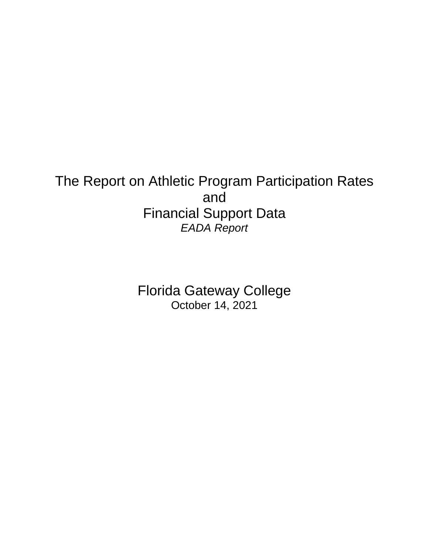# The Report on Athletic Program Participation Rates and Financial Support Data *EADA Report*

Florida Gateway College October 14, 2021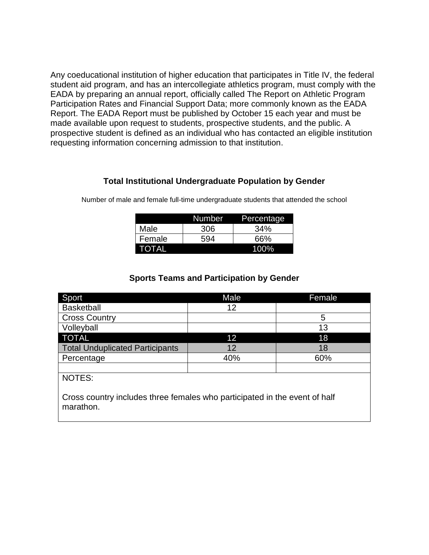Any coeducational institution of higher education that participates in Title IV, the federal student aid program, and has an intercollegiate athletics program, must comply with the EADA by preparing an annual report, officially called The Report on Athletic Program Participation Rates and Financial Support Data; more commonly known as the EADA Report. The EADA Report must be published by October 15 each year and must be made available upon request to students, prospective students, and the public. A prospective student is defined as an individual who has contacted an eligible institution requesting information concerning admission to that institution.

#### **Total Institutional Undergraduate Population by Gender**

|        | Number | Percentage |
|--------|--------|------------|
| Male   | 306    | 34%        |
| Female | 594    | 66%        |
| TOTAL  |        | '100%      |

Number of male and female full-time undergraduate students that attended the school

#### **Sports Teams and Participation by Gender**

| Sport                                                                                   | Male | Female |  |  |  |  |  |
|-----------------------------------------------------------------------------------------|------|--------|--|--|--|--|--|
| <b>Basketball</b>                                                                       | 12   |        |  |  |  |  |  |
| <b>Cross Country</b>                                                                    |      | 5      |  |  |  |  |  |
| Volleyball                                                                              |      | 13     |  |  |  |  |  |
| <b>TOTAL</b>                                                                            | 12   | 18     |  |  |  |  |  |
| <b>Total Unduplicated Participants</b>                                                  | 12   | 18     |  |  |  |  |  |
| Percentage                                                                              | 40%  | 60%    |  |  |  |  |  |
|                                                                                         |      |        |  |  |  |  |  |
| NOTES:                                                                                  |      |        |  |  |  |  |  |
|                                                                                         |      |        |  |  |  |  |  |
| Cross country includes three females who participated in the event of half<br>marathon. |      |        |  |  |  |  |  |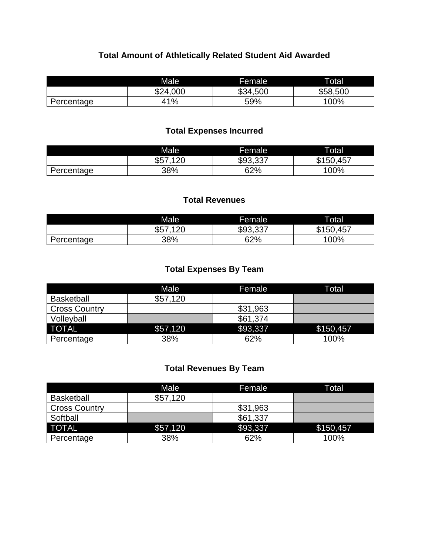# **Total Amount of Athletically Related Student Aid Awarded**

|            | Male     | <b>Female</b> | Total    |
|------------|----------|---------------|----------|
|            | \$24,000 | \$34,500      | \$58,500 |
| Percentage | 11%      | 59%           | 100%     |

### **Total Expenses Incurred**

|            | Male        | Female   | Total         |
|------------|-------------|----------|---------------|
|            | \$57<br>100 | \$93,337 | .457<br>\$150 |
| Percentage | 38%         | 62%      | 00%           |

## **Total Revenues**

|            | Male        | <b>Female</b> | Total         |
|------------|-------------|---------------|---------------|
|            | 100<br>\$57 | \$93,337      | .457<br>\$150 |
| Percentage | 38%         | 62%           | 100%          |

### **Total Expenses By Team**

|                      | Male     | Female   | Total     |
|----------------------|----------|----------|-----------|
| <b>Basketball</b>    | \$57,120 |          |           |
| <b>Cross Country</b> |          | \$31,963 |           |
| Volleyball           |          | \$61,374 |           |
| <b>TOTAL</b>         | \$57,120 | \$93,337 | \$150,457 |
| Percentage           | 38%      | 62%      | 100%      |

# **Total Revenues By Team**

|                      | <b>Male</b> | Female   | Total     |
|----------------------|-------------|----------|-----------|
| <b>Basketball</b>    | \$57,120    |          |           |
| <b>Cross Country</b> |             | \$31,963 |           |
| Softball             |             | \$61,337 |           |
| <b>TOTAL</b>         | \$57,120    | \$93,337 | \$150,457 |
| Percentage           | 38%         | 62%      | 100%      |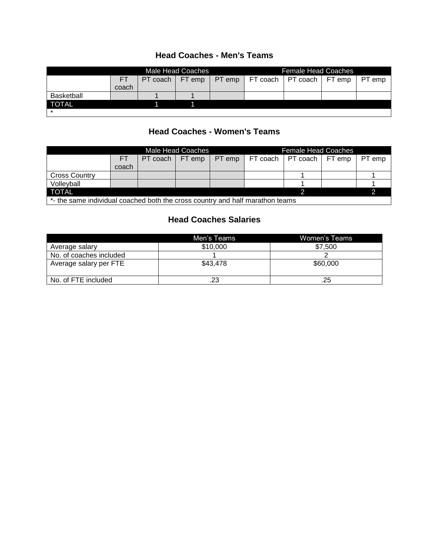## **Head Coaches - Men's Teams**

|              | Male Head Coaches |  |  | <b>Female Head Coaches</b> |                                                                    |  |  |  |
|--------------|-------------------|--|--|----------------------------|--------------------------------------------------------------------|--|--|--|
|              | FT                |  |  |                            | PT coach   FT emp   PT emp   FT coach   PT coach   FT emp   PT emp |  |  |  |
|              | coach             |  |  |                            |                                                                    |  |  |  |
| Basketball   |                   |  |  |                            |                                                                    |  |  |  |
| <b>TOTAL</b> |                   |  |  |                            |                                                                    |  |  |  |
|              |                   |  |  |                            |                                                                    |  |  |  |

# **Head Coaches - Women's Teams**

|                                                                               | Male Head Coaches |                   |  | Female Head Coaches |                                       |  |  |        |
|-------------------------------------------------------------------------------|-------------------|-------------------|--|---------------------|---------------------------------------|--|--|--------|
|                                                                               | <b>FT</b>         | PT coach   FT emp |  |                     | PT emp   FT coach   PT coach   FT emp |  |  | PT emp |
|                                                                               | coach             |                   |  |                     |                                       |  |  |        |
| <b>Cross Country</b>                                                          |                   |                   |  |                     |                                       |  |  |        |
| Volleyball                                                                    |                   |                   |  |                     |                                       |  |  |        |
| <b>TOTAL</b>                                                                  |                   |                   |  |                     |                                       |  |  |        |
| *- the same individual coached both the cross country and half marathon teams |                   |                   |  |                     |                                       |  |  |        |

# **Head Coaches Salaries**

|                         | Men's Teams | Women's Teams |
|-------------------------|-------------|---------------|
| Average salary          | \$10,000    | \$7,500       |
| No. of coaches included |             |               |
| Average salary per FTE  | \$43,478    | \$60,000      |
| No. of FTE included     | .23         | .25           |